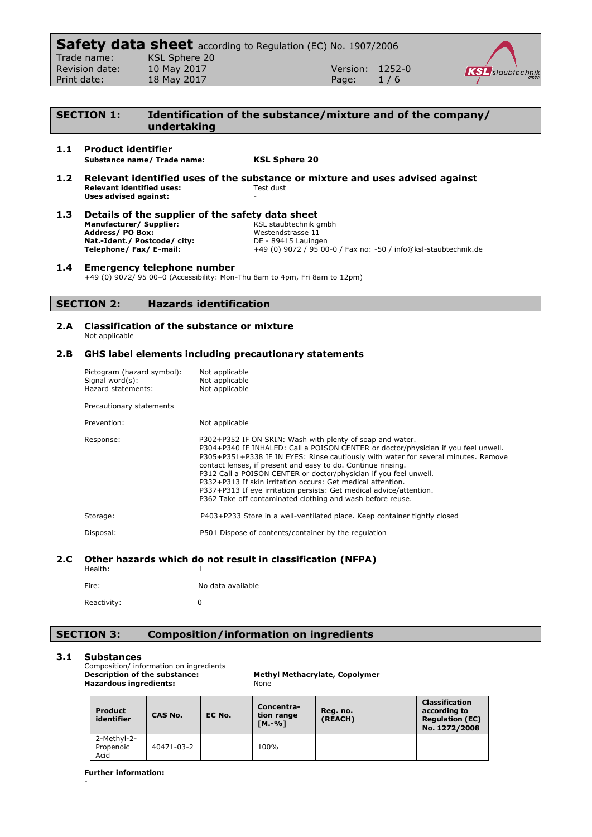|                | <b>Safety data sheet</b> according to Regulation (EC) No. 1907/2006 |                 |     |                         |
|----------------|---------------------------------------------------------------------|-----------------|-----|-------------------------|
| Trade name:    | KSL Sphere 20                                                       |                 |     |                         |
| Revision date: | 10 May 2017                                                         | Version: 1252-0 |     | <b>KSL</b> staubtechnik |
| Print date:    | 18 May 2017                                                         | Page:           | 1/6 |                         |
|                |                                                                     |                 |     |                         |

# **SECTION 1: Identification of the substance/mixture and of the company/ undertaking**

# **1.1 Product identifier Substance name/ Trade name: KSL Sphere 20**

**1.2 Relevant identified uses of the substance or mixture and uses advised against Relevant identified uses: Uses advised against:** -

| 1.3 | Details of the supplier of the safety data sheet |                                                                 |  |  |
|-----|--------------------------------------------------|-----------------------------------------------------------------|--|--|
|     | Manufacturer/Supplier:                           | KSL staubtechnik gmbh                                           |  |  |
|     | <b>Address/PO Box:</b>                           | Westendstrasse 11                                               |  |  |
|     | Nat.-Ident./ Postcode/ city:                     | DE - 89415 Lauingen                                             |  |  |
|     | Telephone/Fax/E-mail:                            | +49 (0) 9072 / 95 00-0 / Fax no: -50 / info@ksl-staubtechnik.de |  |  |
|     |                                                  |                                                                 |  |  |

# **1.4 Emergency telephone number**

+49 (0) 9072/ 95 00–0 (Accessibility: Mon-Thu 8am to 4pm, Fri 8am to 12pm)

# **SECTION 2: Hazards identification**

#### **2.A Classification of the substance or mixture** Not applicable

# **2.B GHS label elements including precautionary statements**

| Pictogram (hazard symbol):<br>Signal word(s):<br>Hazard statements: | Not applicable<br>Not applicable<br>Not applicable                                                                                                                                                                                                                                                                                                                                                                                                                                                                                                                             |
|---------------------------------------------------------------------|--------------------------------------------------------------------------------------------------------------------------------------------------------------------------------------------------------------------------------------------------------------------------------------------------------------------------------------------------------------------------------------------------------------------------------------------------------------------------------------------------------------------------------------------------------------------------------|
| Precautionary statements                                            |                                                                                                                                                                                                                                                                                                                                                                                                                                                                                                                                                                                |
| Prevention:                                                         | Not applicable                                                                                                                                                                                                                                                                                                                                                                                                                                                                                                                                                                 |
| Response:                                                           | P302+P352 IF ON SKIN: Wash with plenty of soap and water.<br>P304+P340 IF INHALED: Call a POISON CENTER or doctor/physician if you feel unwell.<br>P305+P351+P338 IF IN EYES: Rinse cautiously with water for several minutes. Remove<br>contact lenses, if present and easy to do. Continue rinsing.<br>P312 Call a POISON CENTER or doctor/physician if you feel unwell.<br>P332+P313 If skin irritation occurs: Get medical attention.<br>P337+P313 If eye irritation persists: Get medical advice/attention.<br>P362 Take off contaminated clothing and wash before reuse. |
| Storage:                                                            | P403+P233 Store in a well-ventilated place. Keep container tightly closed                                                                                                                                                                                                                                                                                                                                                                                                                                                                                                      |
| Disposal:                                                           | P501 Dispose of contents/container by the regulation                                                                                                                                                                                                                                                                                                                                                                                                                                                                                                                           |

# **2.C Other hazards which do not result in classification (NFPA)**

| Health:     |                   |
|-------------|-------------------|
| Fire:       | No data available |
| Reactivity: | O                 |

# **SECTION 3: Composition/information on ingredients**

# **3.1 Substances**

-

Composition/ information on ingredients<br>Description of the substance: **Hazardous ingredients:** 

**Methyl Methacrylate, Copolymer**<br>None

| <b>Product</b><br>identifier     | CAS No.    | EC No. | Concentra-<br>tion range<br>$IM.-%1$ | Reg. no.<br>(REACH) | Classification<br>according to<br><b>Regulation (EC)</b><br>No. 1272/2008 |
|----------------------------------|------------|--------|--------------------------------------|---------------------|---------------------------------------------------------------------------|
| 2-Methyl-2-<br>Propenoic<br>Acid | 40471-03-2 |        | 100%                                 |                     |                                                                           |

**Further information:**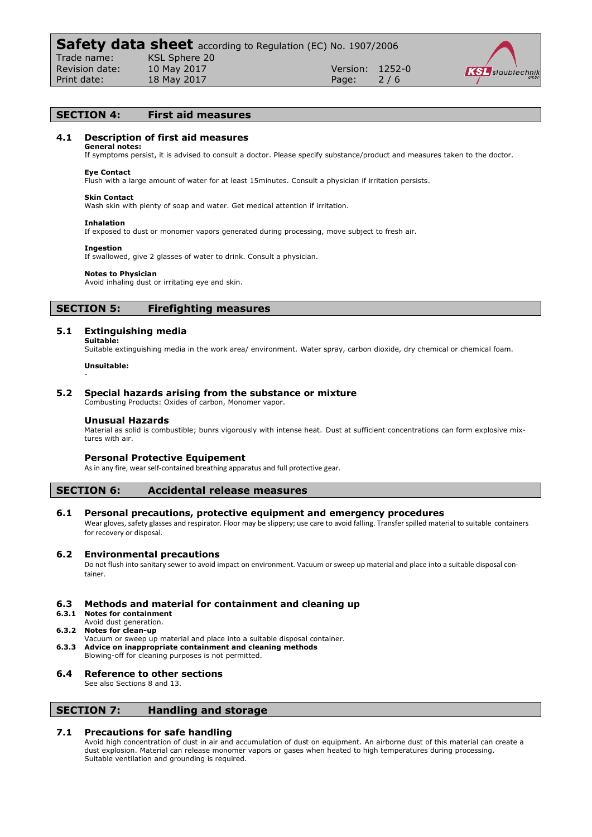

### **SECTION 4: First aid measures**

### **4.1 Description of first aid measures**

**General notes:** If symptoms persist, it is advised to consult a doctor. Please specify substance/product and measures taken to the doctor.

#### **Eye Contact**

Flush with a large amount of water for at least 15minutes. Consult a physician if irritation persists.

#### **Skin Contact**

Wash skin with plenty of soap and water. Get medical attention if irritation.

#### **Inhalation**

If exposed to dust or monomer vapors generated during processing, move subject to fresh air.

#### **Ingestion**

If swallowed, give 2 glasses of water to drink. Consult a physician.

#### **Notes to Physician**

Avoid inhaling dust or irritating eye and skin.

### **SECTION 5: Firefighting measures**

#### **5.1 Extinguishing media Suitable:**

Suitable extinguishing media in the work area/ environment. Water spray, carbon dioxide, dry chemical or chemical foam.

#### **Unsuitable:**

-

### **5.2 Special hazards arising from the substance or mixture**

Combusting Products: Oxides of carbon, Monomer vapor.

#### **Unusual Hazards**

Material as solid is combustible; bunrs vigorously with intense heat. Dust at sufficient concentrations can form explosive mixtures with air.

#### **Personal Protective Equipement**

As in any fire, wear self-contained breathing apparatus and full protective gear.

### **SECTION 6: Accidental release measures**

# **6.1 Personal precautions, protective equipment and emergency procedures**

Wear gloves, safety glasses and respirator. Floor may be slippery; use care to avoid falling. Transfer spilled material to suitable containers for recovery or disposal.

#### **6.2 Environmental precautions**

Do not flush into sanitary sewer to avoid impact on environment. Vacuum or sweep up material and place into a suitable disposal container.

# **6.3 Methods and material for containment and cleaning up**

**6.3.1 Notes for containment**

#### Avoid dust generation. **6.3.2 Notes for clean-up**

- 
- Vacuum or sweep up material and place into a suitable disposal container. **6.3.3 Advice on inappropriate containment and cleaning methods**
- Blowing-off for cleaning purposes is not permitted.

### **6.4 Reference to other sections**

See also Sections 8 and 13.

# **SECTION 7: Handling and storage**

### **7.1 Precautions for safe handling**

Avoid high concentration of dust in air and accumulation of dust on equipment. An airborne dust of this material can create a dust explosion. Material can release monomer vapors or gases when heated to high temperatures during processing. Suitable ventilation and grounding is required.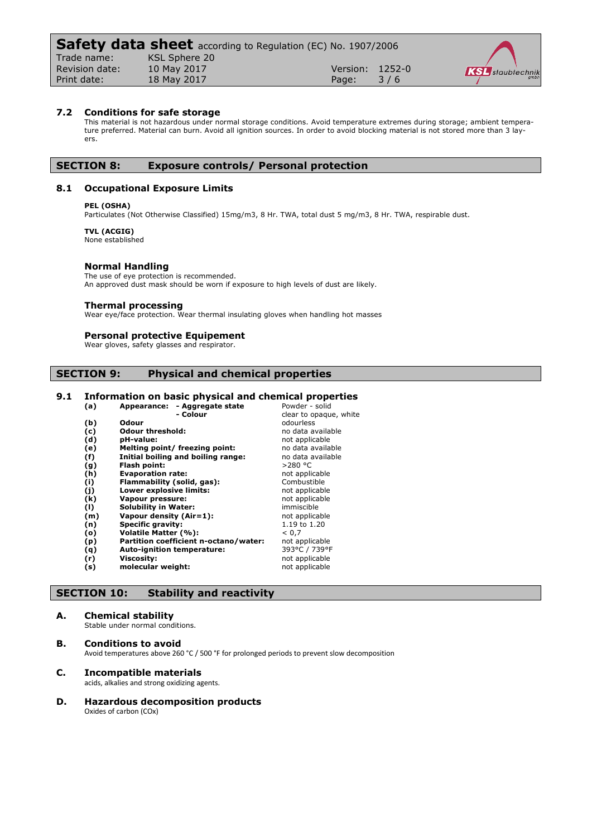### **7.2 Conditions for safe storage**

This material is not hazardous under normal storage conditions. Avoid temperature extremes during storage; ambient temperature preferred. Material can burn. Avoid all ignition sources. In order to avoid blocking material is not stored more than 3 layers.

# **SECTION 8: Exposure controls/ Personal protection**

# **8.1 Occupational Exposure Limits**

#### **PEL (OSHA)**

Particulates (Not Otherwise Classified) 15mg/m3, 8 Hr. TWA, total dust 5 mg/m3, 8 Hr. TWA, respirable dust.

# **TVL (ACGIG)**

None established

#### **Normal Handling**

The use of eye protection is recommended.

An approved dust mask should be worn if exposure to high levels of dust are likely.

#### **Thermal processing**

Wear eye/face protection. Wear thermal insulating gloves when handling hot masses

### **Personal protective Equipement**

Wear gloves, safety glasses and respirator

# **SECTION 9: Physical and chemical properties**

# **9.1 Information on basic physical and chemical properties**

| (a) | Appearance: - Aggregate state         | Powder - solid         |
|-----|---------------------------------------|------------------------|
|     | - Colour                              | clear to opaque, white |
| (b) | Odour                                 | odourless              |
| (c) | <b>Odour threshold:</b>               | no data available      |
| (d) | pH-value:                             | not applicable         |
| (e) | Melting point/ freezing point:        | no data available      |
| (f) | Initial boiling and boiling range:    | no data available      |
| (g) | Flash point:                          | $>$ 280 °C             |
| (h) | <b>Evaporation rate:</b>              | not applicable         |
| (i) | Flammability (solid, gas):            | Combustible            |
| (i) | Lower explosive limits:               | not applicable         |
| (k) | Vapour pressure:                      | not applicable         |
| (1) | <b>Solubility in Water:</b>           | immiscible             |
| (m) | Vapour density (Air=1):               | not applicable         |
| (n) | <b>Specific gravity:</b>              | 1.19 to 1.20           |
| (o) | Volatile Matter (%):                  | < 0.7                  |
| (p) | Partition coefficient n-octano/water: | not applicable         |
| (q) | <b>Auto-ignition temperature:</b>     | 393°C / 739°F          |
| (r) | Viscosity:                            | not applicable         |
| (s) | molecular weight:                     | not applicable         |
|     |                                       |                        |

# **SECTION 10: Stability and reactivity**

#### **A. Chemical stability**

Stable under normal conditions.

**B. Conditions to avoid** Avoid temperatures above 260 °C / 500 °F for prolonged periods to prevent slow decomposition

#### **C. Incompatible materials**

acids, alkalies and strong oxidizing agents.

**D. Hazardous decomposition products** Oxides of carbon (COx)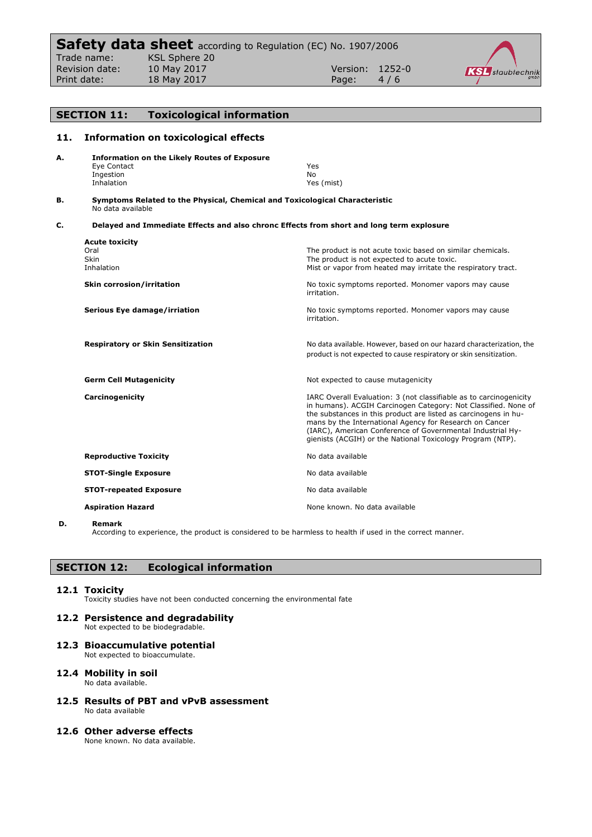

# **SECTION 11: Toxicological information 11. Information on toxicological effects A. Information on the Likely Routes of Exposure** Eye Contact The Vest of the Vest of the Vest of the Vest of the Vest of the Vest of the Vest of the Vest of the Vest of the Vest of the Vest of the Vest of the Vest of the Vest of the Vest of the Vest of the Vest of the Ve Ingestion<br>Inhalation Yes (mist) **B. Symptoms Related to the Physical, Chemical and Toxicological Characteristic** No data available **C. Delayed and Immediate Effects and also chronc Effects from short and long term explosure Acute toxicity** Oral Coral Coral The product is not acute toxic based on similar chemicals.<br>
Skin Shah The product is not expected to acute toxic. Skin Skin The product is not expected to acute toxic.<br>
Inhalation The product is not expected to acute toxic.<br>
Mist or vapor from heated may irritate the Mist or vapor from heated may irritate the respiratory tract. **Skin corrosion/irritation No toxic symptoms reported. Monomer vapors may cause** No toxic symptoms reported. Monomer vapors may cause irritation. **Serious Eye damage/irriation** Notoxic symptoms reported. Monomer vapors may cause irritation. **Respiratory or Skin Sensitization** No data available. However, based on our hazard characterization, the product is not expected to cause respiratory or skin sensitization. **Germ Cell Mutagenicity Not expected to cause mutagenicity Carcinogenicity Carcinogenicity IARC Overall Evaluation: 3 (not classifiable as to carcinogenicity** in humans). ACGIH Carcinogen Category: Not Classified. None of the substances in this product are listed as carcinogens in humans by the International Agency for Research on Cancer (IARC), American Conference of Governmental Industrial Hygienists (ACGIH) or the National Toxicology Program (NTP). **Reproductive Toxicity No data available** No data available **STOT-Single Exposure No data available** No data available **STOT-repeated Exposure** No data available **Aspiration Hazard None known. No data available Aspiration Hazard None known. No data available**

**D. Remark**

According to experience, the product is considered to be harmless to health if used in the correct manner.

# **SECTION 12: Ecological information**

### **12.1 Toxicity**

Toxicity studies have not been conducted concerning the environmental fate

# **12.2 Persistence and degradability**

Not expected to be biodegradable.

- **12.3 Bioaccumulative potential** Not expected to bioaccumulate.
- **12.4 Mobility in soil**

No data available.

- **12.5 Results of PBT and vPvB assessment** No data available
- **12.6 Other adverse effects**

None known. No data available.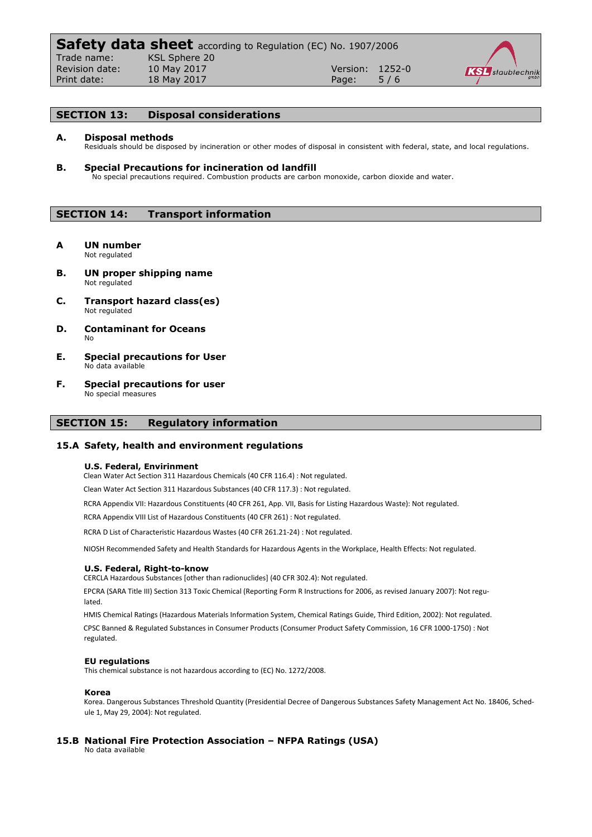

# **SECTION 13: Disposal considerations**

#### **A. Disposal methods**

Residuals should be disposed by incineration or other modes of disposal in consistent with federal, state, and local regulations.

**B. Special Precautions for incineration od landfill** No special precautions required. Combustion products are carbon monoxide, carbon dioxide and water.

# **SECTION 14: Transport information**

- **A UN number** Not regulated
- **B. UN proper shipping name** Not regulated
- **C. Transport hazard class(es)** Not regulated
- **D. Contaminant for Oceans** No
- **E. Special precautions for User** No data available
- **F. Special precautions for user** No special measures

# **SECTION 15: Regulatory information**

### **15.A Safety, health and environment regulations**

#### **U.S. Federal, Envirinment**

Clean Water Act Section 311 Hazardous Chemicals (40 CFR 116.4) : Not regulated.

Clean Water Act Section 311 Hazardous Substances (40 CFR 117.3) : Not regulated.

RCRA Appendix VII: Hazardous Constituents (40 CFR 261, App. VII, Basis for Listing Hazardous Waste): Not regulated.

RCRA Appendix VIII List of Hazardous Constituents (40 CFR 261) : Not regulated.

RCRA D List of Characteristic Hazardous Wastes (40 CFR 261.21-24) : Not regulated.

NIOSH Recommended Safety and Health Standards for Hazardous Agents in the Workplace, Health Effects: Not regulated.

#### **U.S. Federal, Right-to-know**

CERCLA Hazardous Substances [other than radionuclides] (40 CFR 302.4): Not regulated.

EPCRA (SARA Title III) Section 313 Toxic Chemical (Reporting Form R Instructions for 2006, as revised January 2007): Not regulated.

HMIS Chemical Ratings (Hazardous Materials Information System, Chemical Ratings Guide, Third Edition, 2002): Not regulated. CPSC Banned & Regulated Substances in Consumer Products (Consumer Product Safety Commission, 16 CFR 1000-1750) : Not regulated.

#### **EU regulations**

This chemical substance is not hazardous according to (EC) No. 1272/2008.

#### **Korea**

Korea. Dangerous Substances Threshold Quantity (Presidential Decree of Dangerous Substances Safety Management Act No. 18406, Schedule 1, May 29, 2004): Not regulated.

# **15.B National Fire Protection Association – NFPA Ratings (USA)**

No data available